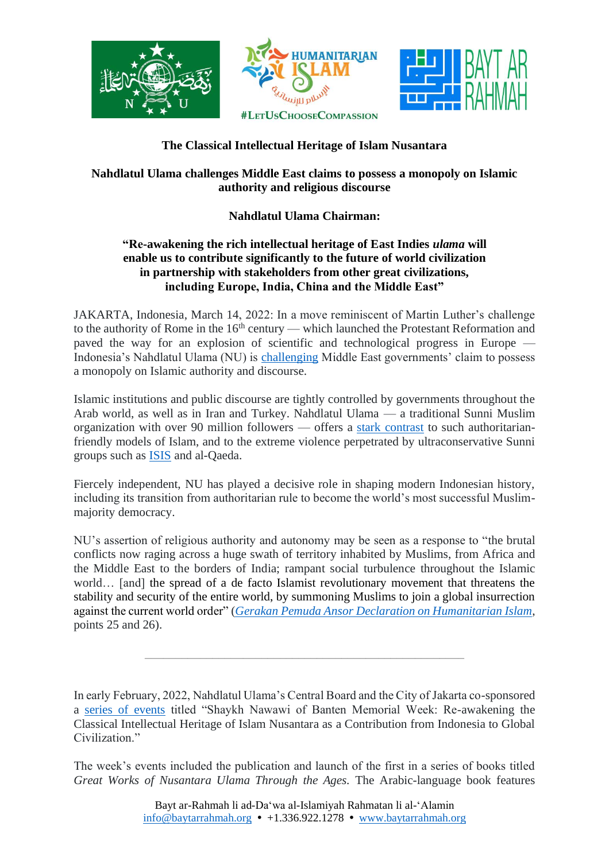



## **The Classical Intellectual Heritage of Islam Nusantara**

## **Nahdlatul Ulama challenges Middle East claims to possess a monopoly on Islamic authority and religious discourse**

## **Nahdlatul Ulama Chairman:**

## **"Re-awakening the rich intellectual heritage of East Indies** *ulama* **will enable us to contribute significantly to the future of world civilization in partnership with stakeholders from other great civilizations, including Europe, India, China and the Middle East"**

JAKARTA, Indonesia, March 14, 2022: In a move reminiscent of Martin Luther's challenge to the authority of Rome in the  $16<sup>th</sup>$  century — which launched the Protestant Reformation and paved the way for an explosion of scientific and technological progress in Europe Indonesia's Nahdlatul Ulama (NU) is [challenging](https://baytarrahmah.org/2020_12_01_hudson-institutes-current-trends-in-islamist-ideology/) Middle East governments' claim to possess a monopoly on Islamic authority and discourse.

Islamic institutions and public discourse are tightly controlled by governments throughout the Arab world, as well as in Iran and Turkey. Nahdlatul Ulama — a traditional Sunni Muslim organization with over 90 million followers — offers a stark [contrast](https://www.baytarrahmah.org/media/2021/FAZ_The-Voice-of-Moderate-Muslims_English_07-26-21.pdf) to such authoritarianfriendly models of Islam, and to the extreme violence perpetrated by ultraconservative Sunni groups such as [ISIS](https://www.baytarrahmah.org/media/2015/nyt_From-Indonesia-a-Muslim-Challenge-to-the-Ideology-of-the-Islamic-State_11-26-15.pdf) and al-Qaeda.

Fiercely independent, NU has played a decisive role in shaping modern Indonesian history, including its transition from authoritarian rule to become the world's most successful Muslimmajority democracy.

NU's assertion of religious authority and autonomy may be seen as a response to "the brutal conflicts now raging across a huge swath of territory inhabited by Muslims, from Africa and the Middle East to the borders of India; rampant social turbulence throughout the Islamic world… [and] the spread of a de facto Islamist revolutionary movement that threatens the stability and security of the entire world, by summoning Muslims to join a global insurrection against the current world order" (*Gerakan Pemuda Ansor Declaration on [Humanitarian](https://www.baytarrahmah.org/media/2017/Gerakan-Pemuda-Ansor_Declaration-on-Humanitarian-Islam.pdf) Islam*, points 25 and 26).

In early February, 2022, Nahdlatul Ulama's Central Board and the City of Jakarta co-sponsored a [series of events](https://www.baytarrahmah.org/media/2022/kompas_syekh-nawawi-al-bantani-ulama-pengajar-islam-moderat_02-11-22.pdf) titled "Shaykh Nawawi of Banten Memorial Week: Re-awakening the Classical Intellectual Heritage of Islam Nusantara as a Contribution from Indonesia to Global Civilization."

\_\_\_\_\_\_\_\_\_\_\_\_\_\_\_\_\_\_\_\_\_\_\_\_\_\_\_\_\_\_\_\_\_\_\_\_\_\_\_\_\_\_\_\_\_\_\_\_\_\_\_\_

The week's events included the publication and launch of the first in a series of books titled *Great Works of Nusantara Ulama Through the Ages.* The Arabic-language book features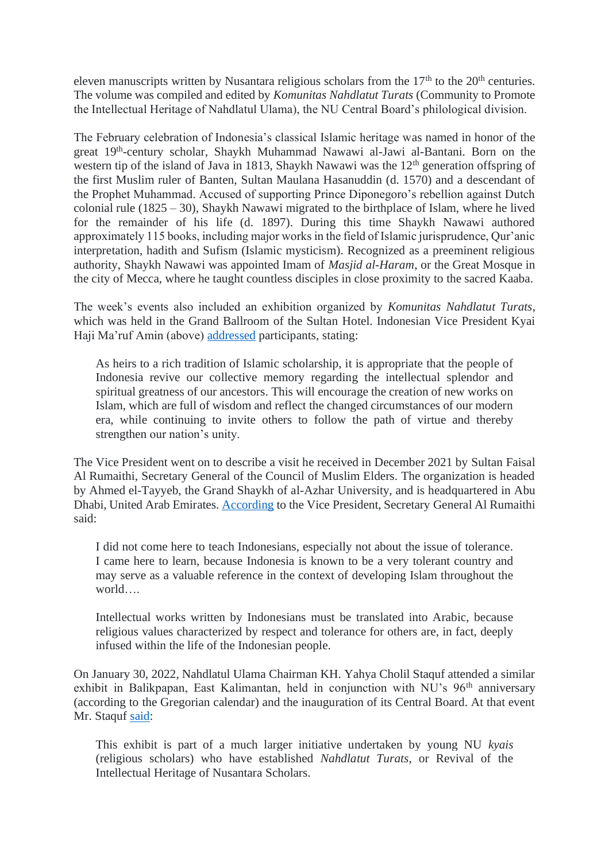eleven manuscripts written by Nusantara religious scholars from the  $17<sup>th</sup>$  to the  $20<sup>th</sup>$  centuries. The volume was compiled and edited by *Komunitas Nahdlatut Turats* (Community to Promote the Intellectual Heritage of Nahdlatul Ulama), the NU Central Board's philological division.

The February celebration of Indonesia's classical Islamic heritage was named in honor of the great 19th -century scholar, Shaykh Muhammad Nawawi al-Jawi al-Bantani. Born on the western tip of the island of Java in 1813, Shaykh Nawawi was the 12<sup>th</sup> generation offspring of the first Muslim ruler of Banten, Sultan Maulana Hasanuddin (d. 1570) and a descendant of the Prophet Muhammad. Accused of supporting Prince Diponegoro's rebellion against Dutch colonial rule (1825 – 30), Shaykh Nawawi migrated to the birthplace of Islam, where he lived for the remainder of his life (d. 1897). During this time Shaykh Nawawi authored approximately 115 books, including major works in the field of Islamic jurisprudence, Qur'anic interpretation, hadith and Sufism (Islamic mysticism). Recognized as a preeminent religious authority, Shaykh Nawawi was appointed Imam of *Masjid al-Haram*, or the Great Mosque in the city of Mecca, where he taught countless disciples in close proximity to the sacred Kaaba.

The week's events also included an exhibition organized by *Komunitas Nahdlatut Turats*, which was held in the Grand Ballroom of the Sultan Hotel. Indonesian Vice President Kyai Haji Ma'ruf Amin (above) [addressed](https://www.baytarrahmah.org/media/2022/wapresri_turots-ulama-indonesia-identitas-keislaman-bangsa-di-era-modern_02-08-22.pdf) participants, stating:

As heirs to a rich tradition of Islamic scholarship, it is appropriate that the people of Indonesia revive our collective memory regarding the intellectual splendor and spiritual greatness of our ancestors. This will encourage the creation of new works on Islam, which are full of wisdom and reflect the changed circumstances of our modern era, while continuing to invite others to follow the path of virtue and thereby strengthen our nation's unity.

The Vice President went on to describe a visit he received in December 2021 by Sultan Faisal Al Rumaithi, Secretary General of the Council of Muslim Elders. The organization is headed by Ahmed el-Tayyeb, the Grand Shaykh of al-Azhar University, and is headquartered in Abu Dhabi, United Arab Emirates. [According](https://www.baytarrahmah.org/media/2022/muslim-elders_buka-pameran-turats-nusantara-wapres-dunia-ingin-belajar-toleransi-dari-indonesia_02-10-22.pdf) to the Vice President, Secretary General Al Rumaithi said:

I did not come here to teach Indonesians, especially not about the issue of tolerance. I came here to learn, because Indonesia is known to be a very tolerant country and may serve as a valuable reference in the context of developing Islam throughout the world….

Intellectual works written by Indonesians must be translated into Arabic, because religious values characterized by respect and tolerance for others are, in fact, deeply infused within the life of the Indonesian people.

On January 30, 2022, Nahdlatul Ulama Chairman KH. Yahya Cholil Staquf attended a similar exhibit in Balikpapan, East Kalimantan, held in conjunction with NU's 96<sup>th</sup> anniversary (according to the Gregorian calendar) and the inauguration of its Central Board. At that event Mr. Staquf [said:](https://www.baytarrahmah.org/media/2022/times-of-indonesia_gus-yahya-umat-islam-nusantara-punya-rujukan-otentik_01-31-22.pdf)

This exhibit is part of a much larger initiative undertaken by young NU *kyais* (religious scholars) who have established *Nahdlatut Turats*, or Revival of the Intellectual Heritage of Nusantara Scholars.